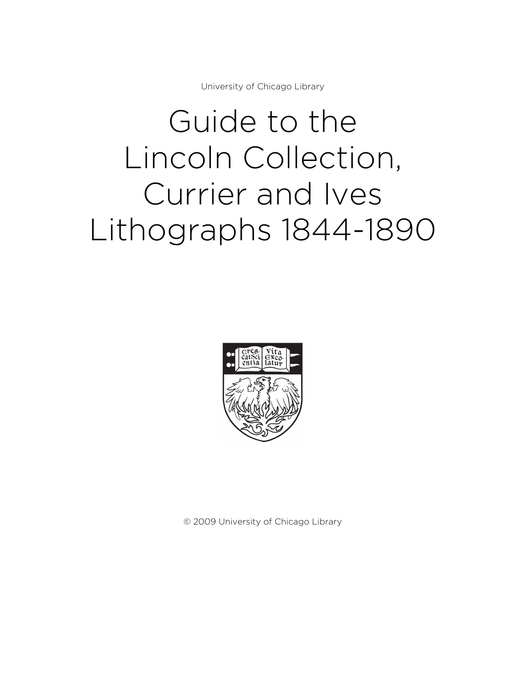University of Chicago Library

# Guide to the Lincoln Collection, Currier and Ives Lithographs 1844-1890



© 2009 University of Chicago Library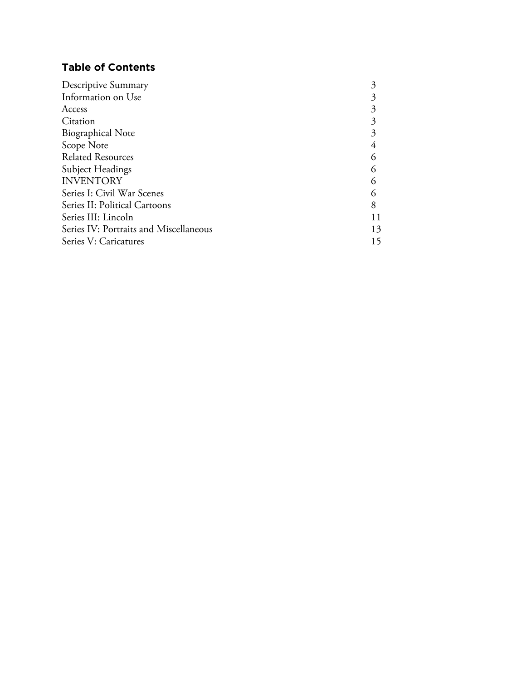# **Table of Contents**

| 8  |
|----|
| 11 |
| 13 |
| 15 |
|    |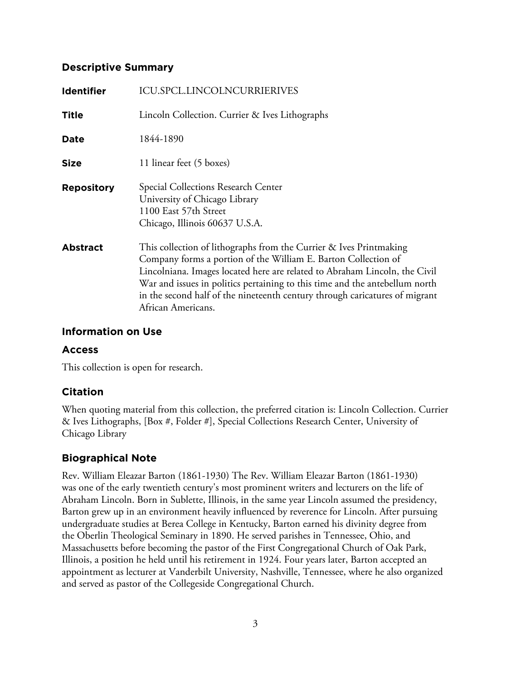# **Descriptive Summary**

| <b>Identifier</b> | <b>ICU.SPCL.LINCOLNCURRIERIVES</b>                                                                                                                                                                                                                                                                                                                                                                     |
|-------------------|--------------------------------------------------------------------------------------------------------------------------------------------------------------------------------------------------------------------------------------------------------------------------------------------------------------------------------------------------------------------------------------------------------|
| <b>Title</b>      | Lincoln Collection. Currier & Ives Lithographs                                                                                                                                                                                                                                                                                                                                                         |
| Date              | 1844-1890                                                                                                                                                                                                                                                                                                                                                                                              |
| <b>Size</b>       | 11 linear feet (5 boxes)                                                                                                                                                                                                                                                                                                                                                                               |
| <b>Repository</b> | Special Collections Research Center<br>University of Chicago Library<br>1100 East 57th Street<br>Chicago, Illinois 60637 U.S.A.                                                                                                                                                                                                                                                                        |
| <b>Abstract</b>   | This collection of lithographs from the Currier & Ives Printmaking<br>Company forms a portion of the William E. Barton Collection of<br>Lincolniana. Images located here are related to Abraham Lincoln, the Civil<br>War and issues in politics pertaining to this time and the antebellum north<br>in the second half of the nineteenth century through caricatures of migrant<br>African Americans. |

# **Information on Use**

# **Access**

This collection is open for research.

# **Citation**

When quoting material from this collection, the preferred citation is: Lincoln Collection. Currier & Ives Lithographs, [Box #, Folder #], Special Collections Research Center, University of Chicago Library

# **Biographical Note**

Rev. William Eleazar Barton (1861-1930) The Rev. William Eleazar Barton (1861-1930) was one of the early twentieth century's most prominent writers and lecturers on the life of Abraham Lincoln. Born in Sublette, Illinois, in the same year Lincoln assumed the presidency, Barton grew up in an environment heavily influenced by reverence for Lincoln. After pursuing undergraduate studies at Berea College in Kentucky, Barton earned his divinity degree from the Oberlin Theological Seminary in 1890. He served parishes in Tennessee, Ohio, and Massachusetts before becoming the pastor of the First Congregational Church of Oak Park, Illinois, a position he held until his retirement in 1924. Four years later, Barton accepted an appointment as lecturer at Vanderbilt University, Nashville, Tennessee, where he also organized and served as pastor of the Collegeside Congregational Church.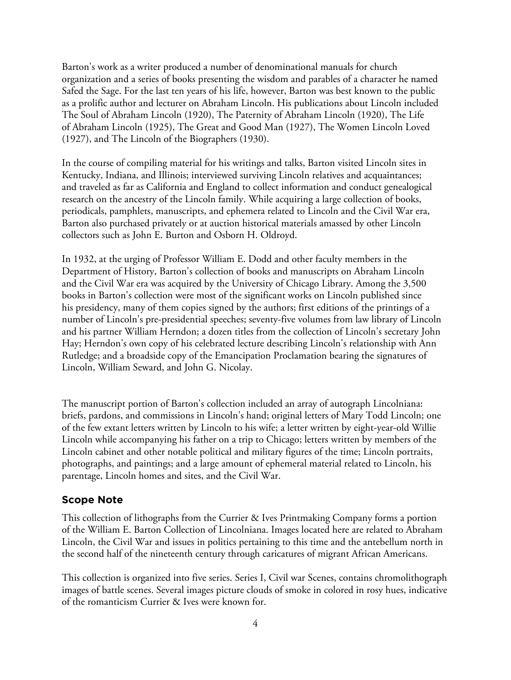Barton's work as a writer produced a number of denominational manuals for church organization and a series of books presenting the wisdom and parables of a character he named Safed the Sage. For the last ten years of his life, however, Barton was best known to the public as a prolific author and lecturer on Abraham Lincoln. His publications about Lincoln included The Soul of Abraham Lincoln (1920), The Paternity of Abraham Lincoln (1920), The Life of Abraham Lincoln (1925), The Great and Good Man (1927), The Women Lincoln Loved (1927), and The Lincoln of the Biographers (1930).

In the course of compiling material for his writings and talks, Barton visited Lincoln sites in Kentucky, Indiana, and Illinois; interviewed surviving Lincoln relatives and acquaintances; and traveled as far as California and England to collect information and conduct genealogical research on the ancestry of the Lincoln family. While acquiring a large collection of books, periodicals, pamphlets, manuscripts, and ephemera related to Lincoln and the Civil War era, Barton also purchased privately or at auction historical materials amassed by other Lincoln collectors such as John E. Burton and Osborn H. Oldroyd.

In 1932, at the urging of Professor William E. Dodd and other faculty members in the Department of History, Barton's collection of books and manuscripts on Abraham Lincoln and the Civil War era was acquired by the University of Chicago Library. Among the 3,500 books in Barton's collection were most of the significant works on Lincoln published since his presidency, many of them copies signed by the authors; first editions of the printings of a number of Lincoln's pre-presidential speeches; seventy-five volumes from law library of Lincoln and his partner William Herndon; a dozen titles from the collection of Lincoln's secretary John Hay; Herndon's own copy of his celebrated lecture describing Lincoln's relationship with Ann Rutledge; and a broadside copy of the Emancipation Proclamation bearing the signatures of Lincoln, William Seward, and John G. Nicolay.

The manuscript portion of Barton's collection included an array of autograph Lincolniana: briefs, pardons, and commissions in Lincoln's hand; original letters of Mary Todd Lincoln; one of the few extant letters written by Lincoln to his wife; a letter written by eight-year-old Willie Lincoln while accompanying his father on a trip to Chicago; letters written by members of the Lincoln cabinet and other notable political and military figures of the time; Lincoln portraits, photographs, and paintings; and a large amount of ephemeral material related to Lincoln, his parentage, Lincoln homes and sites, and the Civil War.

# **Scope Note**

This collection of lithographs from the Currier & Ives Printmaking Company forms a portion of the William E. Barton Collection of Lincolniana. Images located here are related to Abraham Lincoln, the Civil War and issues in politics pertaining to this time and the antebellum north in the second half of the nineteenth century through caricatures of migrant African Americans.

This collection is organized into five series. Series I, Civil war Scenes, contains chromolithograph images of battle scenes. Several images picture clouds of smoke in colored in rosy hues, indicative of the romanticism Currier & Ives were known for.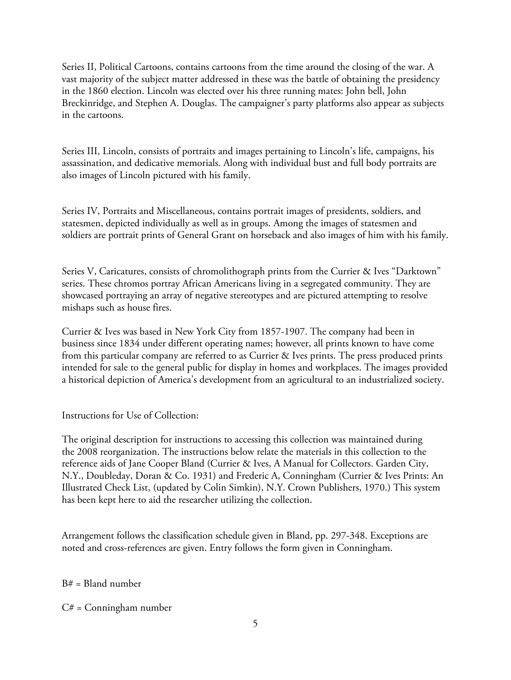Series II, Political Cartoons, contains cartoons from the time around the closing of the war. A vast majority of the subject matter addressed in these was the battle of obtaining the presidency in the 1860 election. Lincoln was elected over his three running mates: John bell, John Breckinridge, and Stephen A. Douglas. The campaigner's party platforms also appear as subjects in the cartoons.

Series III, Lincoln, consists of portraits and images pertaining to Lincoln's life, campaigns, his assassination, and dedicative memorials. Along with individual bust and full body portraits are also images of Lincoln pictured with his family.

Series IV, Portraits and Miscellaneous, contains portrait images of presidents, soldiers, and statesmen, depicted individually as well as in groups. Among the images of statesmen and soldiers are portrait prints of General Grant on horseback and also images of him with his family.

Series V, Caricatures, consists of chromolithograph prints from the Currier & Ives "Darktown" series. These chromos portray African Americans living in a segregated community. They are showcased portraying an array of negative stereotypes and are pictured attempting to resolve mishaps such as house fires.

Currier & Ives was based in New York City from 1857-1907. The company had been in business since 1834 under different operating names; however, all prints known to have come from this particular company are referred to as Currier & Ives prints. The press produced prints intended for sale to the general public for display in homes and workplaces. The images provided a historical depiction of America's development from an agricultural to an industrialized society.

Instructions for Use of Collection:

The original description for instructions to accessing this collection was maintained during the 2008 reorganization. The instructions below relate the materials in this collection to the reference aids of Jane Cooper Bland (Currier & Ives, A Manual for Collectors. Garden City, N.Y., Doubleday, Doran & Co. 1931) and Frederic A, Conningham (Currier & Ives Prints: An Illustrated Check List, (updated by Colin Simkin), N.Y. Crown Publishers, 1970.) This system has been kept here to aid the researcher utilizing the collection.

Arrangement follows the classification schedule given in Bland, pp. 297-348. Exceptions are noted and cross-references are given. Entry follows the form given in Conningham.

 $B# = B$ land number

 $C# =$  Conningham number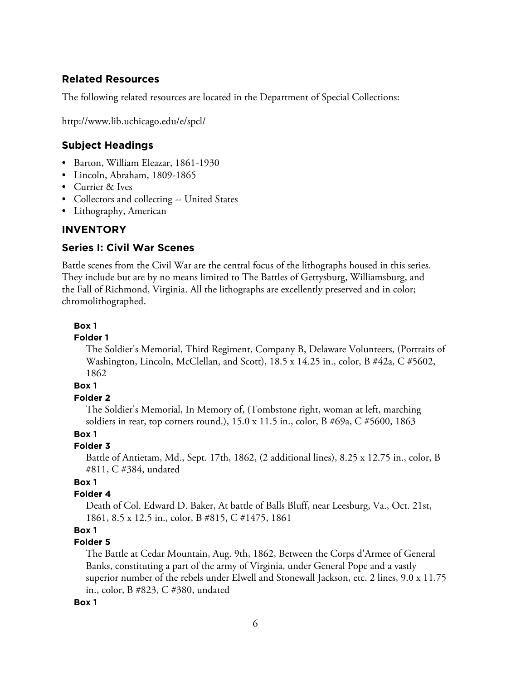# **Related Resources**

The following related resources are located in the Department of Special Collections:

http://www.lib.uchicago.edu/e/spcl/

# **Subject Headings**

- Barton, William Eleazar, 1861-1930
- Lincoln, Abraham, 1809-1865
- Currier & Ives
- Collectors and collecting -- United States
- Lithography, American

# **INVENTORY**

# **Series I: Civil War Scenes**

Battle scenes from the Civil War are the central focus of the lithographs housed in this series. They include but are by no means limited to The Battles of Gettysburg, Williamsburg, and the Fall of Richmond, Virginia. All the lithographs are excellently preserved and in color; chromolithographed.

# **Box 1**

## **Folder 1**

The Soldier's Memorial, Third Regiment, Company B, Delaware Volunteers, (Portraits of Washington, Lincoln, McClellan, and Scott), 18.5 x 14.25 in., color, B #42a, C #5602, 1862

# **Box 1**

# **Folder 2**

The Soldier's Memorial, In Memory of, (Tombstone right, woman at left, marching soldiers in rear, top corners round.), 15.0 x 11.5 in., color, B #69a, C #5600, 1863

# **Box 1**

# **Folder 3**

Battle of Antietam, Md., Sept. 17th, 1862, (2 additional lines), 8.25 x 12.75 in., color, B #811, C #384, undated

# **Box 1**

# **Folder 4**

Death of Col. Edward D. Baker, At battle of Balls Bluff, near Leesburg, Va., Oct. 21st, 1861, 8.5 x 12.5 in., color, B #815, C #1475, 1861

# **Box 1**

# **Folder 5**

The Battle at Cedar Mountain, Aug. 9th, 1862, Between the Corps d'Armee of General Banks, constituting a part of the army of Virginia, under General Pope and a vastly superior number of the rebels under Elwell and Stonewall Jackson, etc. 2 lines, 9.0 x 11.75 in., color, B #823, C #380, undated

#### **Box 1**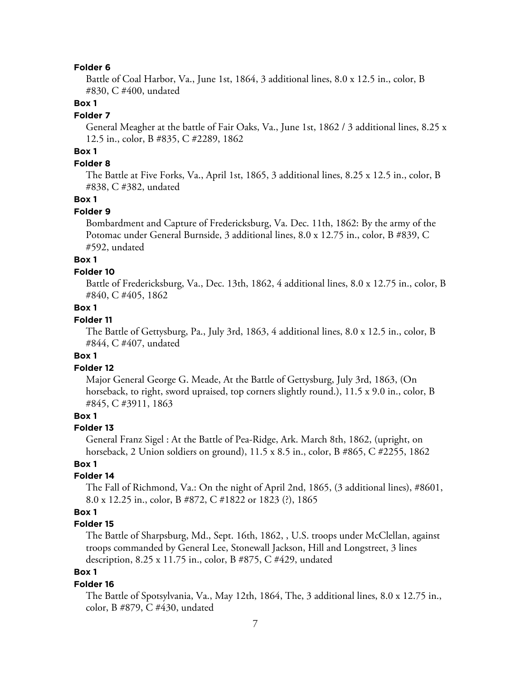#### **Folder 6**

Battle of Coal Harbor, Va., June 1st, 1864, 3 additional lines, 8.0 x 12.5 in., color, B #830, C #400, undated

# **Box 1**

#### **Folder 7**

General Meagher at the battle of Fair Oaks, Va., June 1st, 1862 / 3 additional lines, 8.25 x 12.5 in., color, B #835, C #2289, 1862

# **Box 1**

# **Folder 8**

The Battle at Five Forks, Va., April 1st, 1865, 3 additional lines, 8.25 x 12.5 in., color, B #838, C #382, undated

## **Box 1**

# **Folder 9**

Bombardment and Capture of Fredericksburg, Va. Dec. 11th, 1862: By the army of the Potomac under General Burnside, 3 additional lines, 8.0 x 12.75 in., color, B #839, C #592, undated

# **Box 1**

#### **Folder 10**

Battle of Fredericksburg, Va., Dec. 13th, 1862, 4 additional lines, 8.0 x 12.75 in., color, B #840, C #405, 1862

#### **Box 1**

## **Folder 11**

The Battle of Gettysburg, Pa., July 3rd, 1863, 4 additional lines, 8.0 x 12.5 in., color, B #844, C #407, undated

#### **Box 1**

#### **Folder 12**

Major General George G. Meade, At the Battle of Gettysburg, July 3rd, 1863, (On horseback, to right, sword upraised, top corners slightly round.), 11.5 x 9.0 in., color, B #845, C #3911, 1863

# **Box 1**

#### **Folder 13**

General Franz Sigel : At the Battle of Pea-Ridge, Ark. March 8th, 1862, (upright, on horseback, 2 Union soldiers on ground), 11.5 x 8.5 in., color, B #865, C #2255, 1862

# **Box 1**

# **Folder 14**

The Fall of Richmond, Va.: On the night of April 2nd, 1865, (3 additional lines), #8601, 8.0 x 12.25 in., color, B #872, C #1822 or 1823 (?), 1865

## **Box 1**

## **Folder 15**

The Battle of Sharpsburg, Md., Sept. 16th, 1862, , U.S. troops under McClellan, against troops commanded by General Lee, Stonewall Jackson, Hill and Longstreet, 3 lines description, 8.25 x 11.75 in., color, B #875, C #429, undated

# **Box 1**

#### **Folder 16**

The Battle of Spotsylvania, Va., May 12th, 1864, The, 3 additional lines, 8.0 x 12.75 in., color, B #879, C #430, undated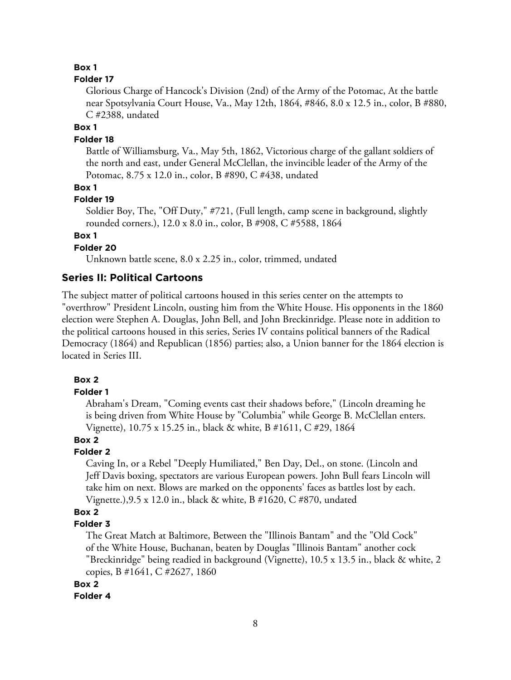## **Folder 17**

Glorious Charge of Hancock's Division (2nd) of the Army of the Potomac, At the battle near Spotsylvania Court House, Va., May 12th, 1864, #846, 8.0 x 12.5 in., color, B #880, C #2388, undated

# **Box 1**

## **Folder 18**

Battle of Williamsburg, Va., May 5th, 1862, Victorious charge of the gallant soldiers of the north and east, under General McClellan, the invincible leader of the Army of the Potomac, 8.75 x 12.0 in., color, B #890, C #438, undated

**Box 1**

#### **Folder 19**

Soldier Boy, The, "Off Duty," #721, (Full length, camp scene in background, slightly rounded corners.), 12.0 x 8.0 in., color, B #908, C #5588, 1864

# **Box 1**

# **Folder 20**

Unknown battle scene, 8.0 x 2.25 in., color, trimmed, undated

# **Series II: Political Cartoons**

The subject matter of political cartoons housed in this series center on the attempts to "overthrow" President Lincoln, ousting him from the White House. His opponents in the 1860 election were Stephen A. Douglas, John Bell, and John Breckinridge. Please note in addition to the political cartoons housed in this series, Series IV contains political banners of the Radical Democracy (1864) and Republican (1856) parties; also, a Union banner for the 1864 election is located in Series III.

## **Box 2**

# **Folder 1**

Abraham's Dream, "Coming events cast their shadows before," (Lincoln dreaming he is being driven from White House by "Columbia" while George B. McClellan enters. Vignette), 10.75 x 15.25 in., black & white, B #1611, C #29, 1864

# **Box 2**

## **Folder 2**

Caving In, or a Rebel "Deeply Humiliated," Ben Day, Del., on stone. (Lincoln and Jeff Davis boxing, spectators are various European powers. John Bull fears Lincoln will take him on next. Blows are marked on the opponents' faces as battles lost by each. Vignette.),9.5 x 12.0 in., black & white, B #1620, C #870, undated

# **Box 2**

# **Folder 3**

The Great Match at Baltimore, Between the "Illinois Bantam" and the "Old Cock" of the White House, Buchanan, beaten by Douglas "Illinois Bantam" another cock "Breckinridge" being readied in background (Vignette), 10.5 x 13.5 in., black & white, 2 copies, B #1641, C #2627, 1860

#### **Box 2**

#### **Folder 4**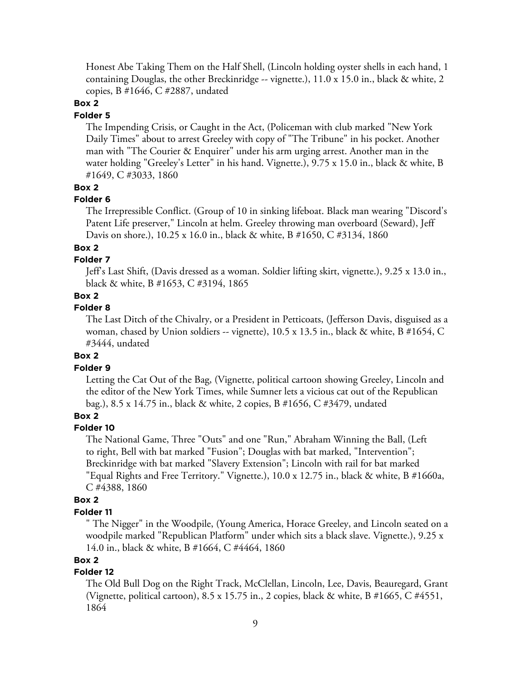Honest Abe Taking Them on the Half Shell, (Lincoln holding oyster shells in each hand, 1 containing Douglas, the other Breckinridge -- vignette.),  $11.0 \times 15.0$  in., black & white, 2 copies, B #1646, C #2887, undated

# **Box 2**

#### **Folder 5**

The Impending Crisis, or Caught in the Act, (Policeman with club marked "New York Daily Times" about to arrest Greeley with copy of "The Tribune" in his pocket. Another man with "The Courier & Enquirer" under his arm urging arrest. Another man in the water holding "Greeley's Letter" in his hand. Vignette.), 9.75 x 15.0 in., black & white, B #1649, C #3033, 1860

## **Box 2**

#### **Folder 6**

The Irrepressible Conflict. (Group of 10 in sinking lifeboat. Black man wearing "Discord's Patent Life preserver," Lincoln at helm. Greeley throwing man overboard (Seward), Jeff Davis on shore.), 10.25 x 16.0 in., black & white, B #1650, C #3134, 1860

#### **Box 2**

# **Folder 7**

Jeff's Last Shift, (Davis dressed as a woman. Soldier lifting skirt, vignette.), 9.25 x 13.0 in., black & white, B #1653, C #3194, 1865

# **Box 2**

# **Folder 8**

The Last Ditch of the Chivalry, or a President in Petticoats, (Jefferson Davis, disguised as a woman, chased by Union soldiers -- vignette), 10.5 x 13.5 in., black & white, B #1654, C #3444, undated

#### **Box 2**

#### **Folder 9**

Letting the Cat Out of the Bag, (Vignette, political cartoon showing Greeley, Lincoln and the editor of the New York Times, while Sumner lets a vicious cat out of the Republican bag.), 8.5 x 14.75 in., black & white, 2 copies, B #1656, C #3479, undated

# **Box 2**

#### **Folder 10**

The National Game, Three "Outs" and one "Run," Abraham Winning the Ball, (Left to right, Bell with bat marked "Fusion"; Douglas with bat marked, "Intervention"; Breckinridge with bat marked "Slavery Extension"; Lincoln with rail for bat marked "Equal Rights and Free Territory." Vignette.), 10.0 x 12.75 in., black & white, B #1660a, C #4388, 1860

## **Box 2**

#### **Folder 11**

" The Nigger" in the Woodpile, (Young America, Horace Greeley, and Lincoln seated on a woodpile marked "Republican Platform" under which sits a black slave. Vignette.), 9.25 x 14.0 in., black & white, B #1664, C #4464, 1860

## **Box 2**

# **Folder 12**

The Old Bull Dog on the Right Track, McClellan, Lincoln, Lee, Davis, Beauregard, Grant (Vignette, political cartoon),  $8.5 \times 15.75$  in., 2 copies, black & white, B #1665, C #4551, 1864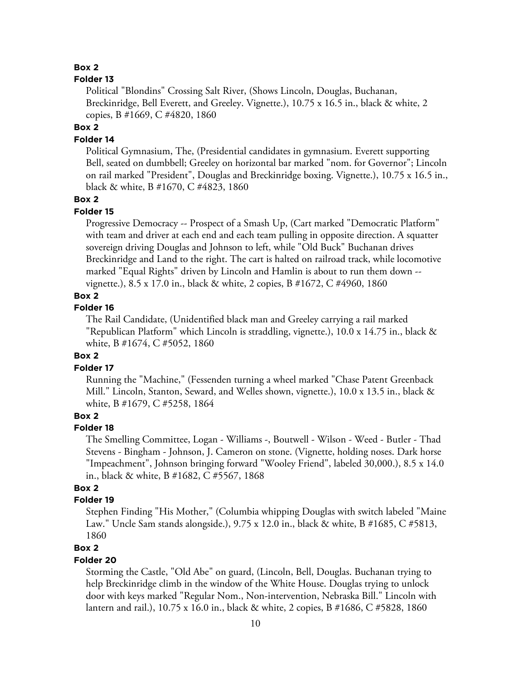## **Folder 13**

Political "Blondins" Crossing Salt River, (Shows Lincoln, Douglas, Buchanan, Breckinridge, Bell Everett, and Greeley. Vignette.), 10.75 x 16.5 in., black & white, 2 copies, B #1669, C #4820, 1860

# **Box 2**

# **Folder 14**

Political Gymnasium, The, (Presidential candidates in gymnasium. Everett supporting Bell, seated on dumbbell; Greeley on horizontal bar marked "nom. for Governor"; Lincoln on rail marked "President", Douglas and Breckinridge boxing. Vignette.), 10.75 x 16.5 in., black & white, B #1670, C #4823, 1860

# **Box 2**

# **Folder 15**

Progressive Democracy -- Prospect of a Smash Up, (Cart marked "Democratic Platform" with team and driver at each end and each team pulling in opposite direction. A squatter sovereign driving Douglas and Johnson to left, while "Old Buck" Buchanan drives Breckinridge and Land to the right. The cart is halted on railroad track, while locomotive marked "Equal Rights" driven by Lincoln and Hamlin is about to run them down - vignette.), 8.5 x 17.0 in., black & white, 2 copies, B #1672, C #4960, 1860

# **Box 2**

# **Folder 16**

The Rail Candidate, (Unidentified black man and Greeley carrying a rail marked "Republican Platform" which Lincoln is straddling, vignette.), 10.0 x 14.75 in., black & white, B #1674, C #5052, 1860

## **Box 2**

## **Folder 17**

Running the "Machine," (Fessenden turning a wheel marked "Chase Patent Greenback Mill." Lincoln, Stanton, Seward, and Welles shown, vignette.), 10.0 x 13.5 in., black & white, B #1679, C #5258, 1864

## **Box 2**

#### **Folder 18**

The Smelling Committee, Logan - Williams -, Boutwell - Wilson - Weed - Butler - Thad Stevens - Bingham - Johnson, J. Cameron on stone. (Vignette, holding noses. Dark horse "Impeachment", Johnson bringing forward "Wooley Friend", labeled 30,000.), 8.5 x 14.0 in., black & white, B #1682, C #5567, 1868

# **Box 2**

## **Folder 19**

Stephen Finding "His Mother," (Columbia whipping Douglas with switch labeled "Maine Law." Uncle Sam stands alongside.), 9.75 x 12.0 in., black & white, B #1685, C #5813, 1860

## **Box 2**

#### **Folder 20**

Storming the Castle, "Old Abe" on guard, (Lincoln, Bell, Douglas. Buchanan trying to help Breckinridge climb in the window of the White House. Douglas trying to unlock door with keys marked "Regular Nom., Non-intervention, Nebraska Bill." Lincoln with lantern and rail.), 10.75 x 16.0 in., black & white, 2 copies, B #1686, C #5828, 1860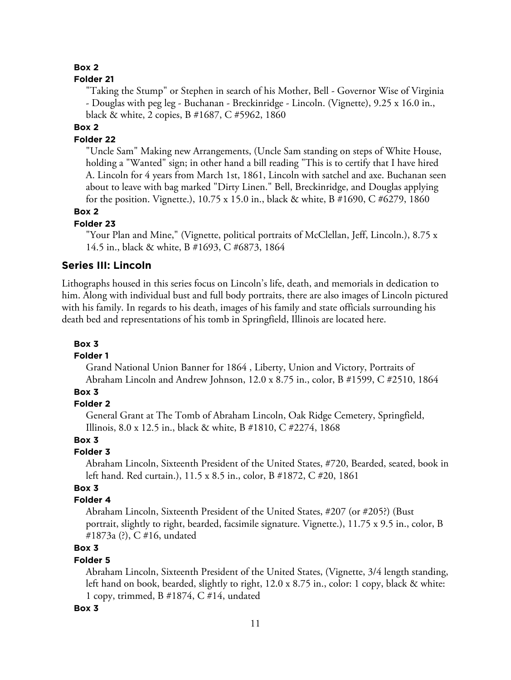#### **Folder 21**

"Taking the Stump" or Stephen in search of his Mother, Bell - Governor Wise of Virginia - Douglas with peg leg - Buchanan - Breckinridge - Lincoln. (Vignette), 9.25 x 16.0 in., black & white, 2 copies, B #1687, C #5962, 1860

## **Box 2**

# **Folder 22**

"Uncle Sam" Making new Arrangements, (Uncle Sam standing on steps of White House, holding a "Wanted" sign; in other hand a bill reading "This is to certify that I have hired A. Lincoln for 4 years from March 1st, 1861, Lincoln with satchel and axe. Buchanan seen about to leave with bag marked "Dirty Linen." Bell, Breckinridge, and Douglas applying for the position. Vignette.), 10.75 x 15.0 in., black & white, B #1690, C #6279, 1860

# **Box 2**

## **Folder 23**

"Your Plan and Mine," (Vignette, political portraits of McClellan, Jeff, Lincoln.), 8.75 x 14.5 in., black & white, B #1693, C #6873, 1864

# **Series III: Lincoln**

Lithographs housed in this series focus on Lincoln's life, death, and memorials in dedication to him. Along with individual bust and full body portraits, there are also images of Lincoln pictured with his family. In regards to his death, images of his family and state officials surrounding his death bed and representations of his tomb in Springfield, Illinois are located here.

#### **Box 3**

#### **Folder 1**

Grand National Union Banner for 1864 , Liberty, Union and Victory, Portraits of Abraham Lincoln and Andrew Johnson, 12.0 x 8.75 in., color, B #1599, C #2510, 1864

# **Box 3**

## **Folder 2**

General Grant at The Tomb of Abraham Lincoln, Oak Ridge Cemetery, Springfield, Illinois, 8.0 x 12.5 in., black & white, B #1810, C #2274, 1868

# **Box 3**

# **Folder 3**

Abraham Lincoln, Sixteenth President of the United States, #720, Bearded, seated, book in left hand. Red curtain.), 11.5 x 8.5 in., color, B #1872, C #20, 1861

# **Box 3**

# **Folder 4**

Abraham Lincoln, Sixteenth President of the United States, #207 (or #205?) (Bust portrait, slightly to right, bearded, facsimile signature. Vignette.), 11.75 x 9.5 in., color, B #1873a (?), C #16, undated

# **Box 3**

# **Folder 5**

Abraham Lincoln, Sixteenth President of the United States, (Vignette, 3/4 length standing, left hand on book, bearded, slightly to right, 12.0 x 8.75 in., color: 1 copy, black & white: 1 copy, trimmed, B #1874, C #14, undated

#### **Box 3**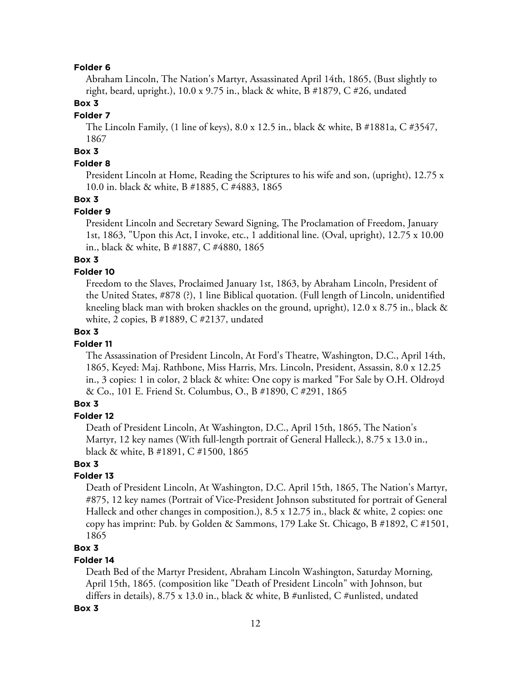## **Folder 6**

Abraham Lincoln, The Nation's Martyr, Assassinated April 14th, 1865, (Bust slightly to right, beard, upright.), 10.0 x 9.75 in., black & white, B #1879, C #26, undated

# **Box 3**

#### **Folder 7**

The Lincoln Family, (1 line of keys), 8.0 x 12.5 in., black & white, B #1881a, C #3547, 1867

# **Box 3**

# **Folder 8**

President Lincoln at Home, Reading the Scriptures to his wife and son, (upright), 12.75 x 10.0 in. black & white, B #1885, C #4883, 1865

## **Box 3**

# **Folder 9**

President Lincoln and Secretary Seward Signing, The Proclamation of Freedom, January 1st, 1863, "Upon this Act, I invoke, etc., 1 additional line. (Oval, upright), 12.75 x 10.00 in., black & white, B #1887, C #4880, 1865

# **Box 3**

## **Folder 10**

Freedom to the Slaves, Proclaimed January 1st, 1863, by Abraham Lincoln, President of the United States, #878 (?), 1 line Biblical quotation. (Full length of Lincoln, unidentified kneeling black man with broken shackles on the ground, upright), 12.0 x 8.75 in., black & white, 2 copies, B #1889, C #2137, undated

# **Box 3**

# **Folder 11**

The Assassination of President Lincoln, At Ford's Theatre, Washington, D.C., April 14th, 1865, Keyed: Maj. Rathbone, Miss Harris, Mrs. Lincoln, President, Assassin, 8.0 x 12.25 in., 3 copies: 1 in color, 2 black & white: One copy is marked "For Sale by O.H. Oldroyd & Co., 101 E. Friend St. Columbus, O., B #1890, C #291, 1865

# **Box 3**

# **Folder 12**

Death of President Lincoln, At Washington, D.C., April 15th, 1865, The Nation's Martyr, 12 key names (With full-length portrait of General Halleck.), 8.75 x 13.0 in., black & white, B #1891, C #1500, 1865

# **Box 3**

# **Folder 13**

Death of President Lincoln, At Washington, D.C. April 15th, 1865, The Nation's Martyr, #875, 12 key names (Portrait of Vice-President Johnson substituted for portrait of General Halleck and other changes in composition.), 8.5 x 12.75 in., black & white, 2 copies: one copy has imprint: Pub. by Golden & Sammons, 179 Lake St. Chicago, B #1892, C #1501, 1865

# **Box 3**

#### **Folder 14**

Death Bed of the Martyr President, Abraham Lincoln Washington, Saturday Morning, April 15th, 1865. (composition like "Death of President Lincoln" with Johnson, but differs in details), 8.75 x 13.0 in., black & white, B #unlisted, C #unlisted, undated

#### **Box 3**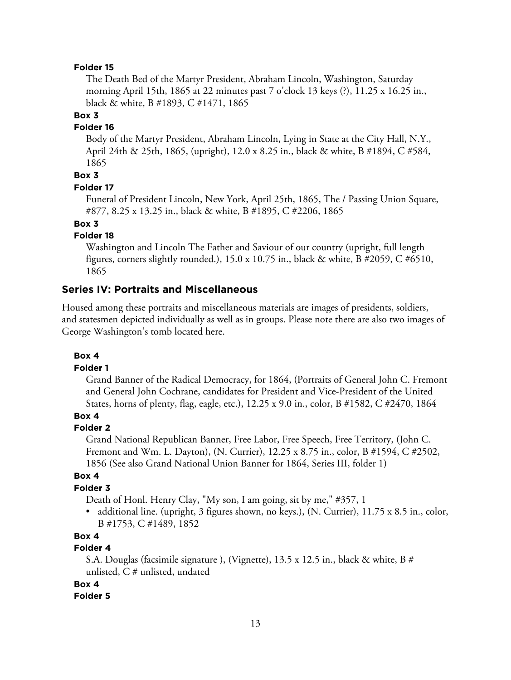## **Folder 15**

The Death Bed of the Martyr President, Abraham Lincoln, Washington, Saturday morning April 15th, 1865 at 22 minutes past 7 o'clock 13 keys (?), 11.25 x 16.25 in., black & white, B #1893, C #1471, 1865

# **Box 3**

#### **Folder 16**

Body of the Martyr President, Abraham Lincoln, Lying in State at the City Hall, N.Y., April 24th & 25th, 1865, (upright), 12.0 x 8.25 in., black & white, B #1894, C #584, 1865

# **Box 3**

## **Folder 17**

Funeral of President Lincoln, New York, April 25th, 1865, The / Passing Union Square, #877, 8.25 x 13.25 in., black & white, B #1895, C #2206, 1865

**Box 3**

## **Folder 18**

Washington and Lincoln The Father and Saviour of our country (upright, full length figures, corners slightly rounded.), 15.0 x 10.75 in., black & white, B #2059, C #6510, 1865

# **Series IV: Portraits and Miscellaneous**

Housed among these portraits and miscellaneous materials are images of presidents, soldiers, and statesmen depicted individually as well as in groups. Please note there are also two images of George Washington's tomb located here.

#### **Box 4**

#### **Folder 1**

Grand Banner of the Radical Democracy, for 1864, (Portraits of General John C. Fremont and General John Cochrane, candidates for President and Vice-President of the United States, horns of plenty, flag, eagle, etc.), 12.25 x 9.0 in., color, B #1582, C #2470, 1864

# **Box 4**

## **Folder 2**

Grand National Republican Banner, Free Labor, Free Speech, Free Territory, (John C. Fremont and Wm. L. Dayton), (N. Currier), 12.25 x 8.75 in., color, B #1594, C #2502, 1856 (See also Grand National Union Banner for 1864, Series III, folder 1)

#### **Box 4**

#### **Folder 3**

Death of Honl. Henry Clay, "My son, I am going, sit by me," #357, 1

• additional line. (upright, 3 figures shown, no keys.), (N. Currier), 11.75 x 8.5 in., color, B #1753, C #1489, 1852

# **Box 4**

# **Folder 4**

S.A. Douglas (facsimile signature ), (Vignette), 13.5 x 12.5 in., black & white, B # unlisted, C # unlisted, undated

## **Box 4**

#### **Folder 5**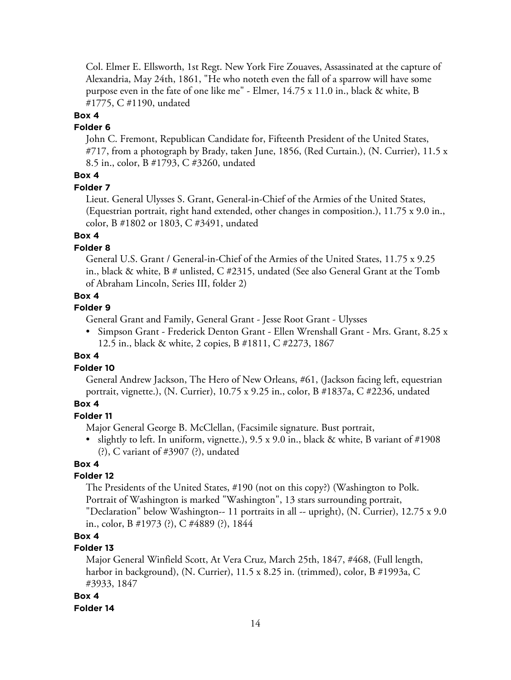Col. Elmer E. Ellsworth, 1st Regt. New York Fire Zouaves, Assassinated at the capture of Alexandria, May 24th, 1861, "He who noteth even the fall of a sparrow will have some purpose even in the fate of one like me" - Elmer, 14.75 x 11.0 in., black & white, B #1775, C #1190, undated

## **Box 4**

#### **Folder 6**

John C. Fremont, Republican Candidate for, Fifteenth President of the United States, #717, from a photograph by Brady, taken June, 1856, (Red Curtain.), (N. Currier), 11.5 x 8.5 in., color, B #1793, C #3260, undated

# **Box 4**

#### **Folder 7**

Lieut. General Ulysses S. Grant, General-in-Chief of the Armies of the United States, (Equestrian portrait, right hand extended, other changes in composition.), 11.75 x 9.0 in., color, B #1802 or 1803, C #3491, undated

# **Box 4**

# **Folder 8**

General U.S. Grant / General-in-Chief of the Armies of the United States, 11.75 x 9.25 in., black & white,  $B \#$  unlisted,  $C \#2315$ , undated (See also General Grant at the Tomb of Abraham Lincoln, Series III, folder 2)

# **Box 4**

# **Folder 9**

General Grant and Family, General Grant - Jesse Root Grant - Ulysses

• Simpson Grant - Frederick Denton Grant - Ellen Wrenshall Grant - Mrs. Grant, 8.25 x 12.5 in., black & white, 2 copies, B #1811, C #2273, 1867

## **Box 4**

# **Folder 10**

General Andrew Jackson, The Hero of New Orleans, #61, (Jackson facing left, equestrian portrait, vignette.), (N. Currier), 10.75 x 9.25 in., color, B #1837a, C #2236, undated

# **Box 4**

# **Folder 11**

Major General George B. McClellan, (Facsimile signature. Bust portrait,

• slightly to left. In uniform, vignette.),  $9.5 \times 9.0$  in., black & white, B variant of #1908 (?), C variant of #3907 (?), undated

## **Box 4**

#### **Folder 12**

The Presidents of the United States, #190 (not on this copy?) (Washington to Polk. Portrait of Washington is marked "Washington", 13 stars surrounding portrait, "Declaration" below Washington-- 11 portraits in all -- upright), (N. Currier), 12.75 x 9.0 in., color, B #1973 (?), C #4889 (?), 1844

# **Box 4**

# **Folder 13**

Major General Winfield Scott, At Vera Cruz, March 25th, 1847, #468, (Full length, harbor in background), (N. Currier), 11.5 x 8.25 in. (trimmed), color, B #1993a, C #3933, 1847

## **Box 4**

#### **Folder 14**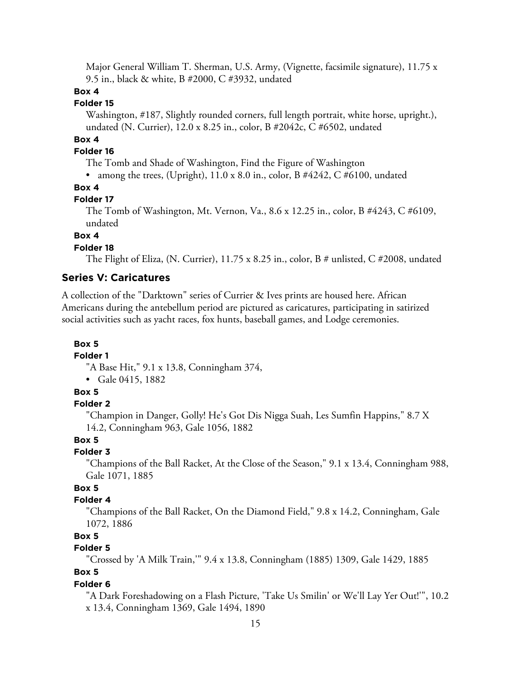Major General William T. Sherman, U.S. Army, (Vignette, facsimile signature), 11.75 x 9.5 in., black & white, B #2000, C #3932, undated

# **Box 4**

# **Folder 15**

Washington, #187, Slightly rounded corners, full length portrait, white horse, upright.), undated (N. Currier), 12.0 x 8.25 in., color, B #2042c, C #6502, undated

# **Box 4**

# **Folder 16**

The Tomb and Shade of Washington, Find the Figure of Washington

• among the trees, (Upright), 11.0 x 8.0 in., color, B #4242, C #6100, undated

# **Box 4**

#### **Folder 17**

The Tomb of Washington, Mt. Vernon, Va., 8.6 x 12.25 in., color, B #4243, C #6109, undated

# **Box 4**

# **Folder 18**

The Flight of Eliza, (N. Currier), 11.75 x 8.25 in., color, B # unlisted, C #2008, undated

# **Series V: Caricatures**

A collection of the "Darktown" series of Currier & Ives prints are housed here. African Americans during the antebellum period are pictured as caricatures, participating in satirized social activities such as yacht races, fox hunts, baseball games, and Lodge ceremonies.

#### **Box 5**

# **Folder 1**

"A Base Hit," 9.1 x 13.8, Conningham 374,

• Gale 0415, 1882

# **Box 5**

# **Folder 2**

"Champion in Danger, Golly! He's Got Dis Nigga Suah, Les Sumfin Happins," 8.7 X 14.2, Conningham 963, Gale 1056, 1882

# **Box 5**

# **Folder 3**

"Champions of the Ball Racket, At the Close of the Season," 9.1 x 13.4, Conningham 988, Gale 1071, 1885

# **Box 5**

# **Folder 4**

"Champions of the Ball Racket, On the Diamond Field," 9.8 x 14.2, Conningham, Gale 1072, 1886

# **Box 5**

# **Folder 5**

"Crossed by 'A Milk Train,'" 9.4 x 13.8, Conningham (1885) 1309, Gale 1429, 1885

# **Box 5**

## **Folder 6**

"A Dark Foreshadowing on a Flash Picture, 'Take Us Smilin' or We'll Lay Yer Out!'", 10.2 x 13.4, Conningham 1369, Gale 1494, 1890